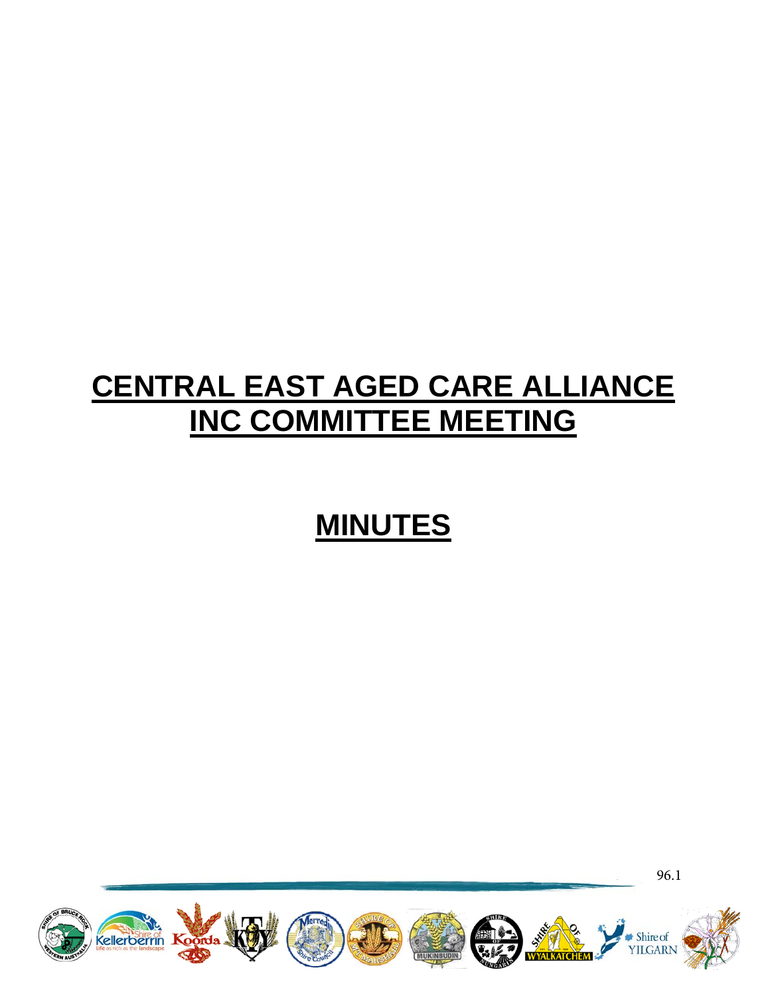# **CENTRAL EAST AGED CARE ALLIANCE INC COMMITTEE MEETING**

# **MINUTES**



96.1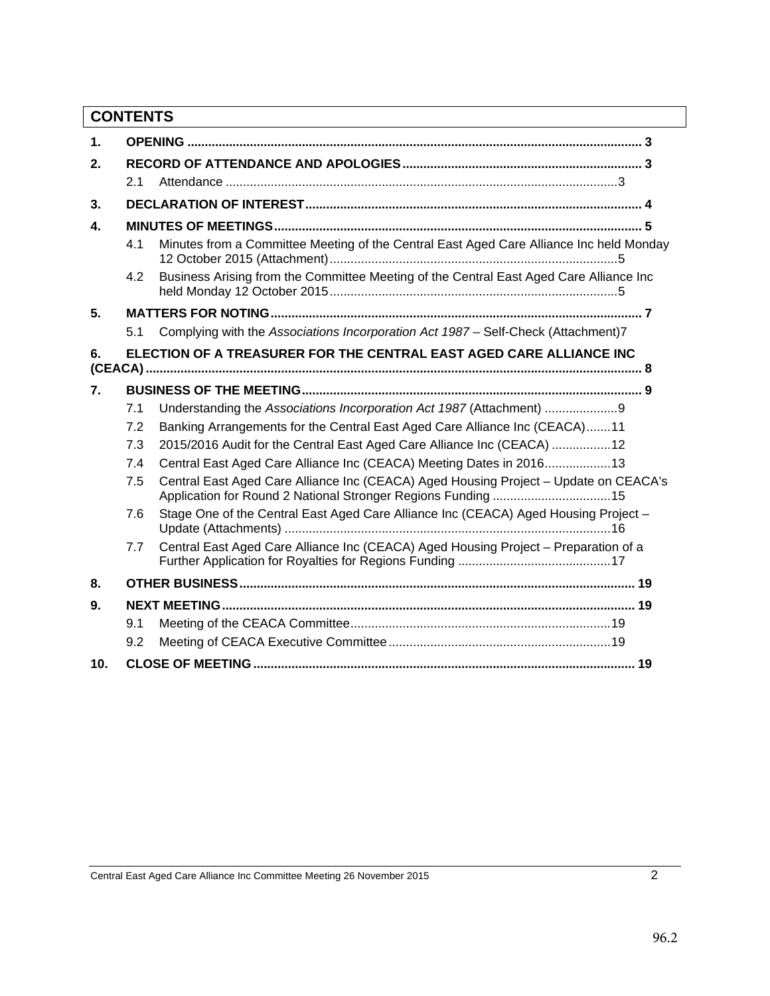# **CONTENTS**

| $\mathbf 1$ . |                                                                     |                                                                                                                                                      |  |  |  |
|---------------|---------------------------------------------------------------------|------------------------------------------------------------------------------------------------------------------------------------------------------|--|--|--|
| 2.            |                                                                     |                                                                                                                                                      |  |  |  |
|               | 2.1                                                                 |                                                                                                                                                      |  |  |  |
| 3.            |                                                                     |                                                                                                                                                      |  |  |  |
| 4.            |                                                                     |                                                                                                                                                      |  |  |  |
|               | 4.1                                                                 | Minutes from a Committee Meeting of the Central East Aged Care Alliance Inc held Monday                                                              |  |  |  |
|               | 4.2                                                                 | Business Arising from the Committee Meeting of the Central East Aged Care Alliance Inc                                                               |  |  |  |
| 5.            |                                                                     |                                                                                                                                                      |  |  |  |
|               | 5.1                                                                 | Complying with the Associations Incorporation Act 1987 - Self-Check (Attachment)7                                                                    |  |  |  |
| 6.            | ELECTION OF A TREASURER FOR THE CENTRAL EAST AGED CARE ALLIANCE INC |                                                                                                                                                      |  |  |  |
| 7.            |                                                                     |                                                                                                                                                      |  |  |  |
|               | 7.1                                                                 | Understanding the Associations Incorporation Act 1987 (Attachment)                                                                                   |  |  |  |
|               | 7.2                                                                 | Banking Arrangements for the Central East Aged Care Alliance Inc (CEACA)11                                                                           |  |  |  |
|               | 7.3                                                                 | 2015/2016 Audit for the Central East Aged Care Alliance Inc (CEACA) 12                                                                               |  |  |  |
|               | 7.4                                                                 | Central East Aged Care Alliance Inc (CEACA) Meeting Dates in 2016 13                                                                                 |  |  |  |
|               | 7.5                                                                 | Central East Aged Care Alliance Inc (CEACA) Aged Housing Project - Update on CEACA's<br>Application for Round 2 National Stronger Regions Funding 15 |  |  |  |
|               | 7.6                                                                 | Stage One of the Central East Aged Care Alliance Inc (CEACA) Aged Housing Project -                                                                  |  |  |  |
|               | 7.7                                                                 | Central East Aged Care Alliance Inc (CEACA) Aged Housing Project - Preparation of a                                                                  |  |  |  |
| 8.            |                                                                     |                                                                                                                                                      |  |  |  |
| 9.            |                                                                     |                                                                                                                                                      |  |  |  |
|               | 9.1                                                                 |                                                                                                                                                      |  |  |  |
|               | 9.2                                                                 |                                                                                                                                                      |  |  |  |
| 10.           |                                                                     |                                                                                                                                                      |  |  |  |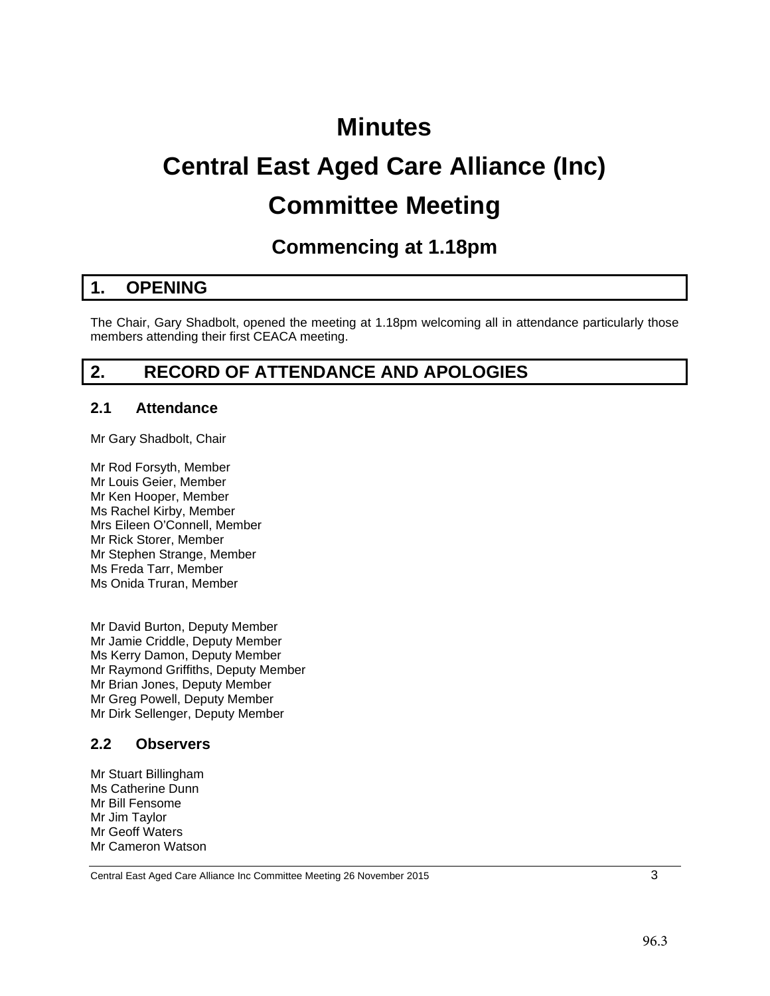# **Minutes**

# **Central East Aged Care Alliance (Inc) Committee Meeting**

# **Commencing at 1.18pm**

# <span id="page-2-0"></span>**1. OPENING**

The Chair, Gary Shadbolt, opened the meeting at 1.18pm welcoming all in attendance particularly those members attending their first CEACA meeting.

# <span id="page-2-1"></span>**2. RECORD OF ATTENDANCE AND APOLOGIES**

#### <span id="page-2-2"></span>**2.1 Attendance**

Mr Gary Shadbolt, Chair

Mr Rod Forsyth, Member Mr Louis Geier, Member Mr Ken Hooper, Member Ms Rachel Kirby, Member Mrs Eileen O'Connell, Member Mr Rick Storer, Member Mr Stephen Strange, Member Ms Freda Tarr, Member Ms Onida Truran, Member

Mr David Burton, Deputy Member Mr Jamie Criddle, Deputy Member Ms Kerry Damon, Deputy Member Mr Raymond Griffiths, Deputy Member Mr Brian Jones, Deputy Member Mr Greg Powell, Deputy Member Mr Dirk Sellenger, Deputy Member

#### **2.2 Observers**

Mr Stuart Billingham Ms Catherine Dunn Mr Bill Fensome Mr Jim Taylor Mr Geoff Waters Mr Cameron Watson

Central East Aged Care Alliance Inc Committee Meeting 26 November 2015 3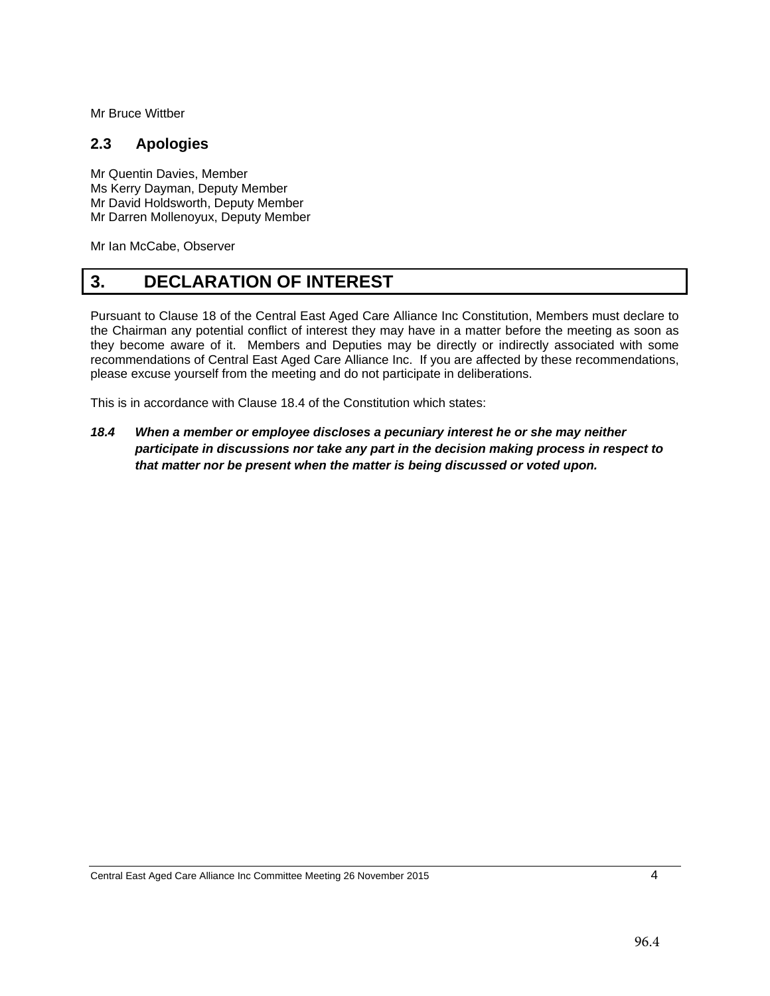Mr Bruce Wittber

### **2.3 Apologies**

Mr Quentin Davies, Member Ms Kerry Dayman, Deputy Member Mr David Holdsworth, Deputy Member Mr Darren Mollenoyux, Deputy Member

Mr Ian McCabe, Observer

# <span id="page-3-0"></span>**3. DECLARATION OF INTEREST**

Pursuant to Clause 18 of the Central East Aged Care Alliance Inc Constitution, Members must declare to the Chairman any potential conflict of interest they may have in a matter before the meeting as soon as they become aware of it. Members and Deputies may be directly or indirectly associated with some recommendations of Central East Aged Care Alliance Inc. If you are affected by these recommendations, please excuse yourself from the meeting and do not participate in deliberations.

This is in accordance with Clause 18.4 of the Constitution which states:

*18.4 When a member or employee discloses a pecuniary interest he or she may neither participate in discussions nor take any part in the decision making process in respect to that matter nor be present when the matter is being discussed or voted upon.*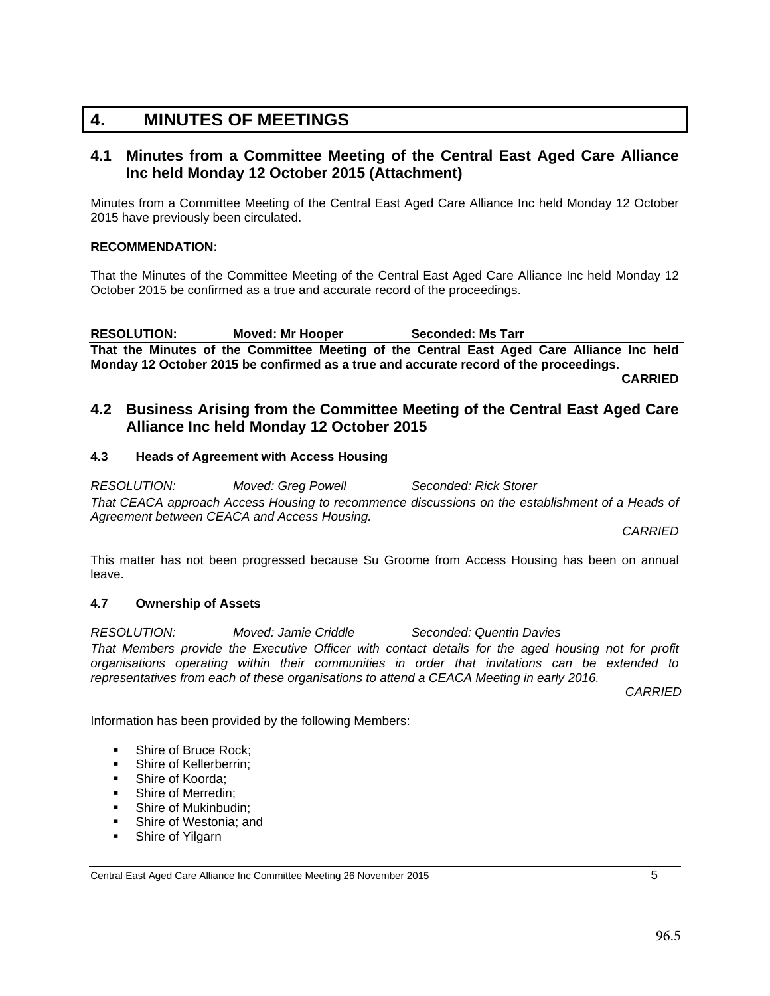# <span id="page-4-0"></span>**4. MINUTES OF MEETINGS**

#### <span id="page-4-1"></span>**4.1 Minutes from a Committee Meeting of the Central East Aged Care Alliance Inc held Monday 12 October 2015 (Attachment)**

Minutes from a Committee Meeting of the Central East Aged Care Alliance Inc held Monday 12 October 2015 have previously been circulated.

#### **RECOMMENDATION:**

That the Minutes of the Committee Meeting of the Central East Aged Care Alliance Inc held Monday 12 October 2015 be confirmed as a true and accurate record of the proceedings.

RESOLUTION: Moved: Mr Hooper Seconded: Ms Tarr **That the Minutes of the Committee Meeting of the Central East Aged Care Alliance Inc held Monday 12 October 2015 be confirmed as a true and accurate record of the proceedings.**

**CARRIED**

#### <span id="page-4-2"></span>**4.2 Business Arising from the Committee Meeting of the Central East Aged Care Alliance Inc held Monday 12 October 2015**

#### **4.3 Heads of Agreement with Access Housing**

*RESOLUTION: Moved: Greg Powell Seconded: Rick Storer That CEACA approach Access Housing to recommence discussions on the establishment of a Heads of Agreement between CEACA and Access Housing.*

*CARRIED*

This matter has not been progressed because Su Groome from Access Housing has been on annual leave.

#### **4.7 Ownership of Assets**

*RESOLUTION: Moved: Jamie Criddle Seconded: Quentin Davies That Members provide the Executive Officer with contact details for the aged housing not for profit organisations operating within their communities in order that invitations can be extended to representatives from each of these organisations to attend a CEACA Meeting in early 2016.*

*CARRIED*

Information has been provided by the following Members:

- **Shire of Bruce Rock:**
- **Shire of Kellerberrin;**
- **Shire of Koorda:**
- Shire of Merredin:
- Shire of Mukinbudin;
- **Shire of Westonia; and**
- **Shire of Yilgarn**

Central East Aged Care Alliance Inc Committee Meeting 26 November 2015 5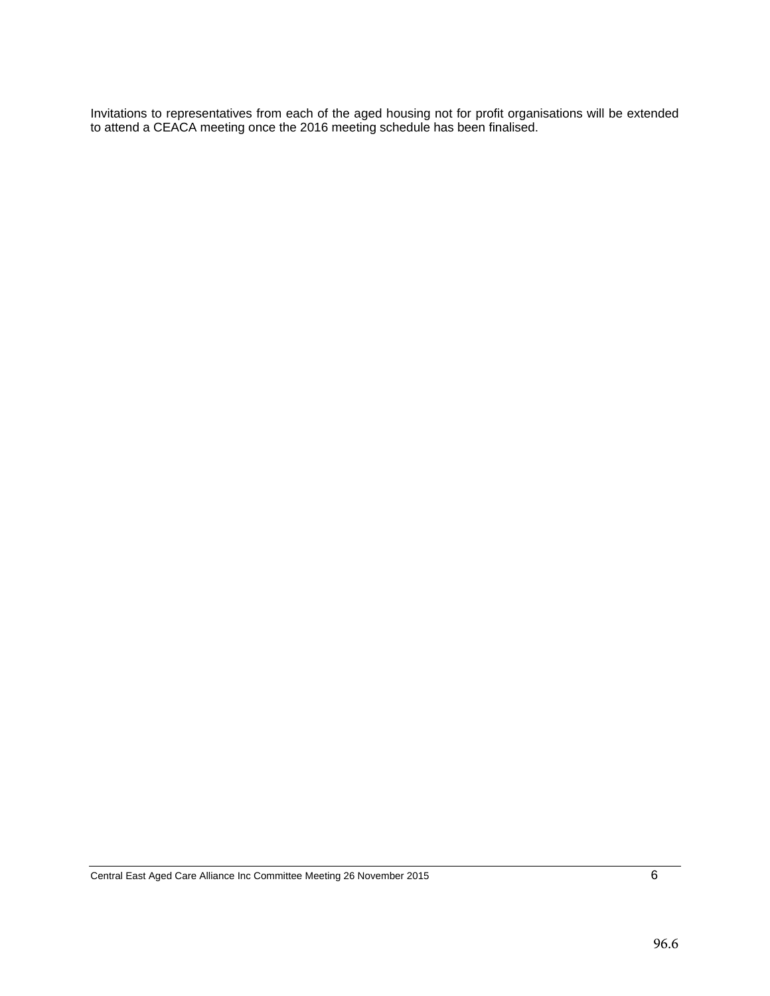Invitations to representatives from each of the aged housing not for profit organisations will be extended to attend a CEACA meeting once the 2016 meeting schedule has been finalised.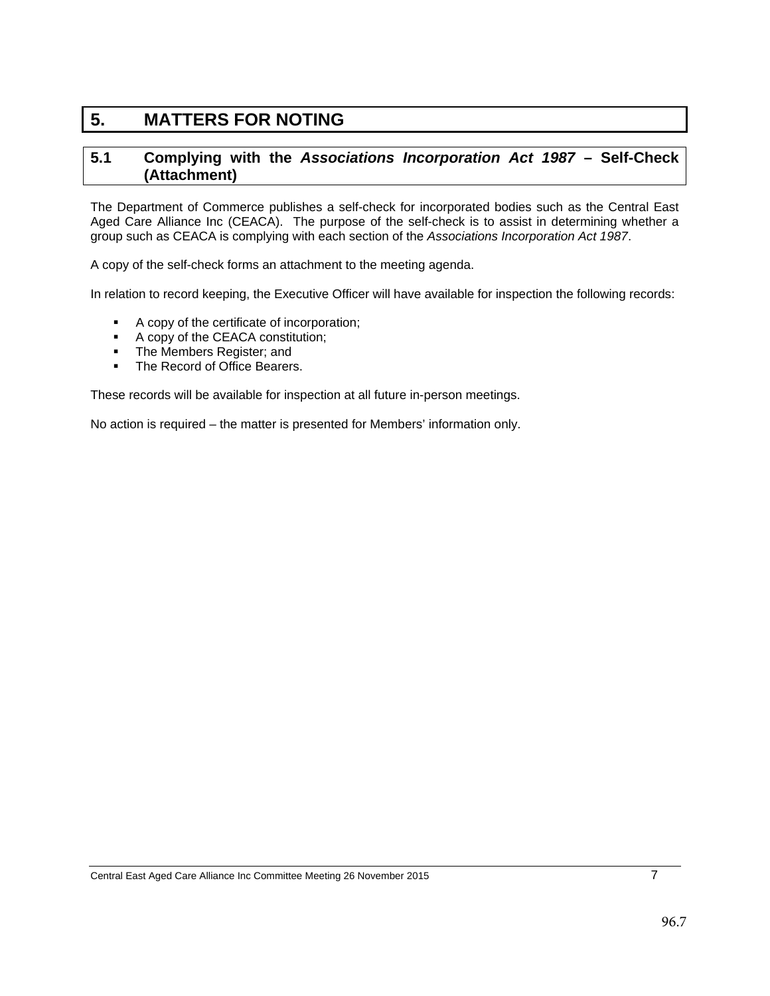# <span id="page-6-0"></span>**5. MATTERS FOR NOTING**

#### <span id="page-6-1"></span>**5.1 Complying with the** *Associations Incorporation Act 1987* **– Self-Check (Attachment)**

The Department of Commerce publishes a self-check for incorporated bodies such as the Central East Aged Care Alliance Inc (CEACA). The purpose of the self-check is to assist in determining whether a group such as CEACA is complying with each section of the *Associations Incorporation Act 1987*.

A copy of the self-check forms an attachment to the meeting agenda.

In relation to record keeping, the Executive Officer will have available for inspection the following records:

- A copy of the certificate of incorporation;
- A copy of the CEACA constitution;
- The Members Register; and<br>• The Record of Office Bearers
- The Record of Office Bearers.

These records will be available for inspection at all future in-person meetings.

No action is required – the matter is presented for Members' information only.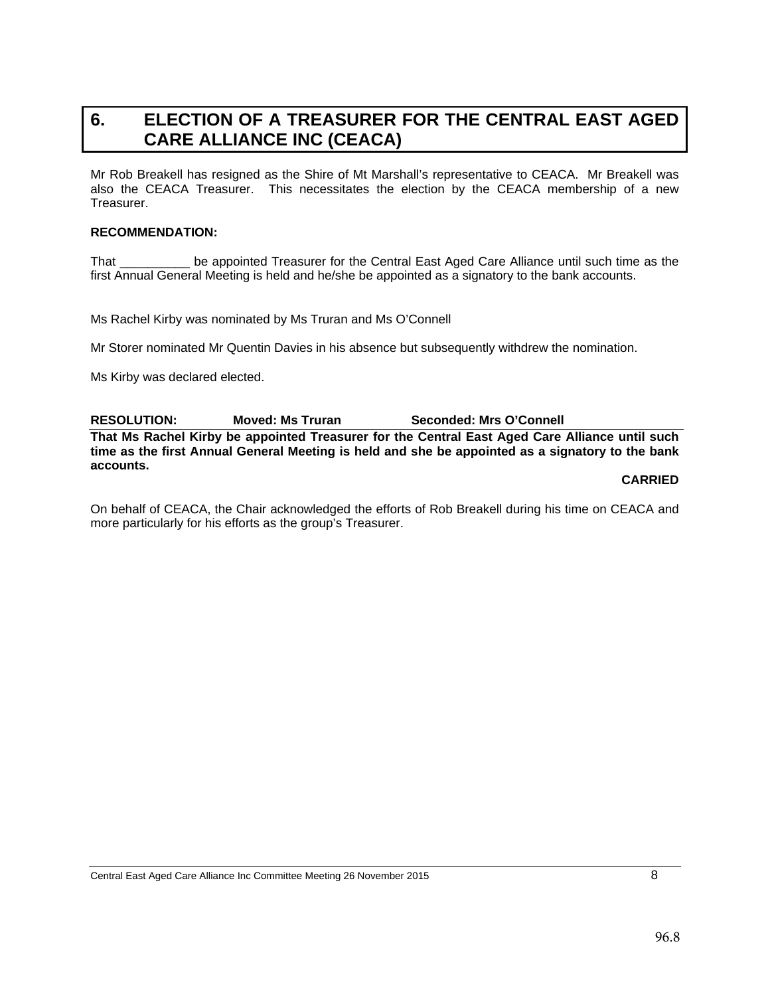# <span id="page-7-0"></span>**6. ELECTION OF A TREASURER FOR THE CENTRAL EAST AGED CARE ALLIANCE INC (CEACA)**

Mr Rob Breakell has resigned as the Shire of Mt Marshall's representative to CEACA. Mr Breakell was also the CEACA Treasurer. This necessitates the election by the CEACA membership of a new Treasurer.

#### **RECOMMENDATION:**

That \_\_\_\_\_\_\_\_\_\_ be appointed Treasurer for the Central East Aged Care Alliance until such time as the first Annual General Meeting is held and he/she be appointed as a signatory to the bank accounts.

Ms Rachel Kirby was nominated by Ms Truran and Ms O'Connell

Mr Storer nominated Mr Quentin Davies in his absence but subsequently withdrew the nomination.

Ms Kirby was declared elected.

**RESOLUTION: Moved: Ms Truran Seconded: Mrs O'Connell**

**That Ms Rachel Kirby be appointed Treasurer for the Central East Aged Care Alliance until such time as the first Annual General Meeting is held and she be appointed as a signatory to the bank accounts.**

**CARRIED**

On behalf of CEACA, the Chair acknowledged the efforts of Rob Breakell during his time on CEACA and more particularly for his efforts as the group's Treasurer.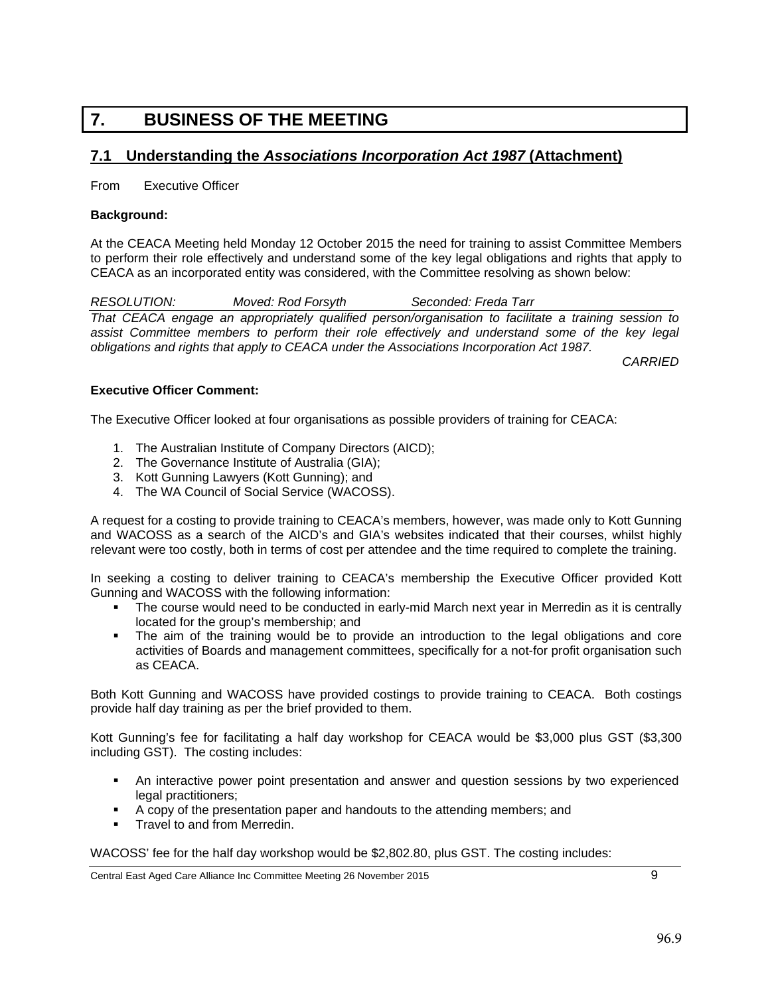# <span id="page-8-0"></span>**7. BUSINESS OF THE MEETING**

## <span id="page-8-1"></span>**7.1 Understanding the** *Associations Incorporation Act 1987* **(Attachment)**

From Executive Officer

#### **Background:**

At the CEACA Meeting held Monday 12 October 2015 the need for training to assist Committee Members to perform their role effectively and understand some of the key legal obligations and rights that apply to CEACA as an incorporated entity was considered, with the Committee resolving as shown below:

*RESOLUTION: Moved: Rod Forsyth Seconded: Freda Tarr That CEACA engage an appropriately qualified person/organisation to facilitate a training session to*  assist Committee members to perform their role effectively and understand some of the key legal *obligations and rights that apply to CEACA under the Associations Incorporation Act 1987.*

*CARRIED*

#### **Executive Officer Comment:**

The Executive Officer looked at four organisations as possible providers of training for CEACA:

- 1. The Australian Institute of Company Directors (AICD);
- 2. The Governance Institute of Australia (GIA);
- 3. Kott Gunning Lawyers (Kott Gunning); and
- 4. The WA Council of Social Service (WACOSS).

A request for a costing to provide training to CEACA's members, however, was made only to Kott Gunning and WACOSS as a search of the AICD's and GIA's websites indicated that their courses, whilst highly relevant were too costly, both in terms of cost per attendee and the time required to complete the training.

In seeking a costing to deliver training to CEACA's membership the Executive Officer provided Kott Gunning and WACOSS with the following information:

- The course would need to be conducted in early-mid March next year in Merredin as it is centrally located for the group's membership; and
- The aim of the training would be to provide an introduction to the legal obligations and core activities of Boards and management committees, specifically for a not-for profit organisation such as CEACA.

Both Kott Gunning and WACOSS have provided costings to provide training to CEACA. Both costings provide half day training as per the brief provided to them.

Kott Gunning's fee for facilitating a half day workshop for CEACA would be \$3,000 plus GST (\$3,300 including GST). The costing includes:

- An interactive power point presentation and answer and question sessions by two experienced legal practitioners;
- A copy of the presentation paper and handouts to the attending members; and
- Travel to and from Merredin.

WACOSS' fee for the half day workshop would be \$2,802.80, plus GST. The costing includes:

Central East Aged Care Alliance Inc Committee Meeting 26 November 2015 9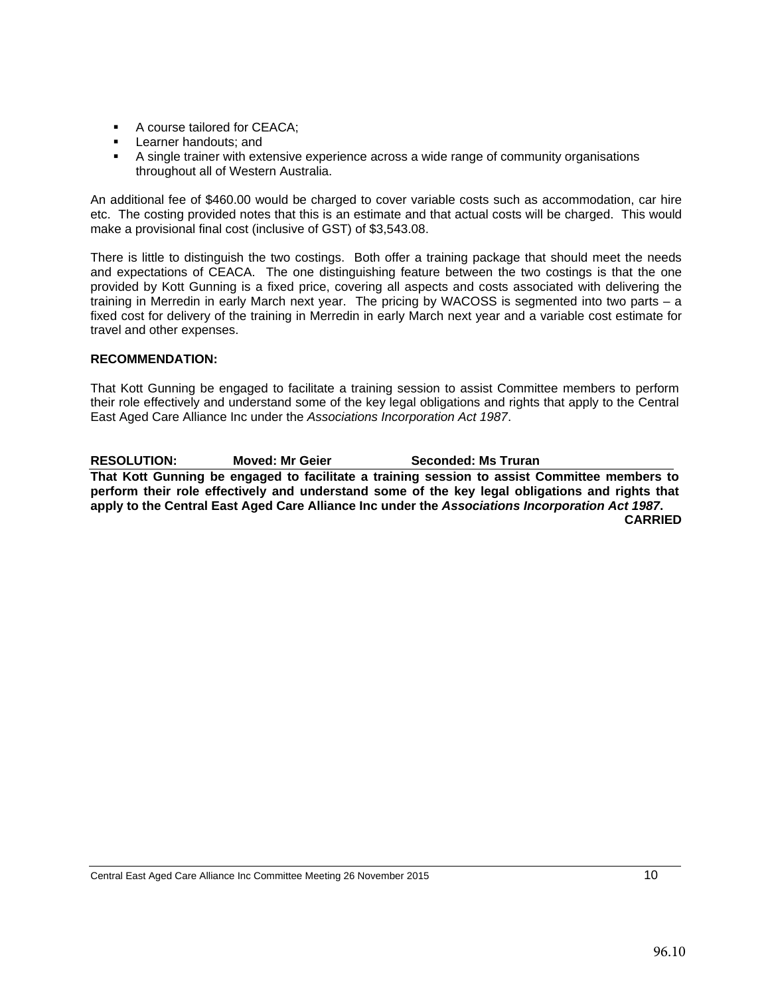- A course tailored for CEACA:
- **Learner handouts; and**
- A single trainer with extensive experience across a wide range of community organisations throughout all of Western Australia.

An additional fee of \$460.00 would be charged to cover variable costs such as accommodation, car hire etc. The costing provided notes that this is an estimate and that actual costs will be charged. This would make a provisional final cost (inclusive of GST) of \$3,543.08.

There is little to distinguish the two costings. Both offer a training package that should meet the needs and expectations of CEACA. The one distinguishing feature between the two costings is that the one provided by Kott Gunning is a fixed price, covering all aspects and costs associated with delivering the training in Merredin in early March next year. The pricing by WACOSS is segmented into two parts – a fixed cost for delivery of the training in Merredin in early March next year and a variable cost estimate for travel and other expenses.

#### **RECOMMENDATION:**

That Kott Gunning be engaged to facilitate a training session to assist Committee members to perform their role effectively and understand some of the key legal obligations and rights that apply to the Central East Aged Care Alliance Inc under the *Associations Incorporation Act 1987*.

**RESOLUTION: Moved: Mr Geier Seconded: Ms Truran That Kott Gunning be engaged to facilitate a training session to assist Committee members to perform their role effectively and understand some of the key legal obligations and rights that apply to the Central East Aged Care Alliance Inc under the** *Associations Incorporation Act 1987***. CARRIED**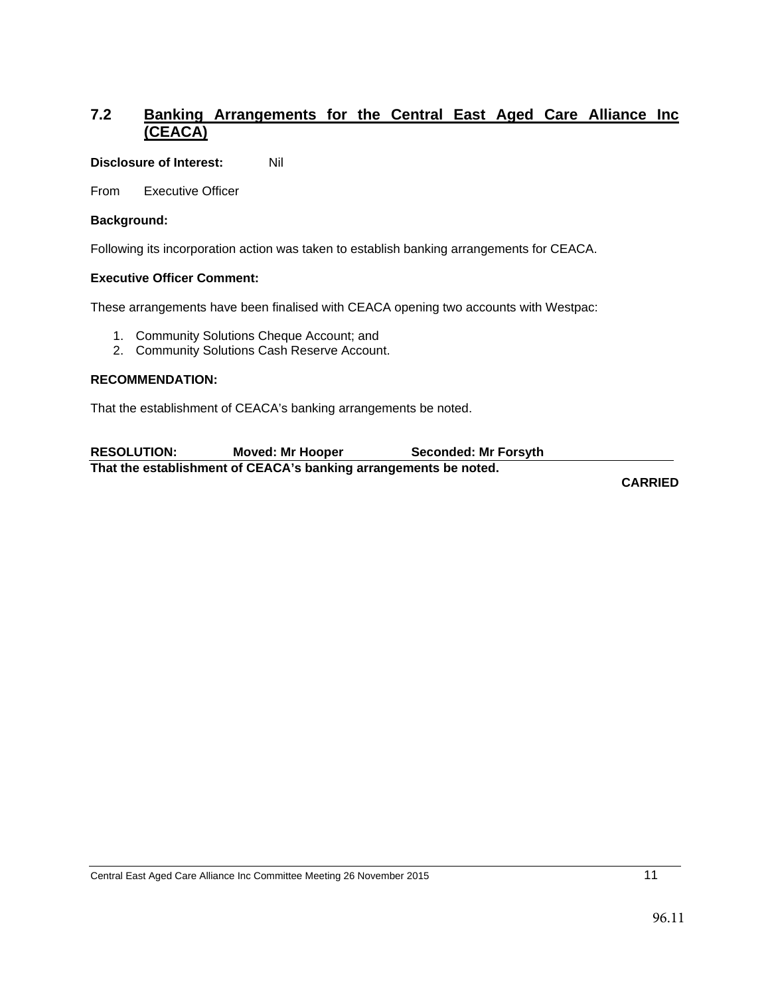# <span id="page-10-0"></span>**7.2 Banking Arrangements for the Central East Aged Care Alliance Inc (CEACA)**

#### **Disclosure of Interest:** Nil

From Executive Officer

#### **Background:**

Following its incorporation action was taken to establish banking arrangements for CEACA.

#### **Executive Officer Comment:**

These arrangements have been finalised with CEACA opening two accounts with Westpac:

- 1. Community Solutions Cheque Account; and
- 2. Community Solutions Cash Reserve Account.

#### **RECOMMENDATION:**

That the establishment of CEACA's banking arrangements be noted.

| <b>RESOLUTION:</b>                                               | <b>Moved: Mr Hooper</b> | <b>Seconded: Mr Forsyth</b> |  |  |  |  |  |
|------------------------------------------------------------------|-------------------------|-----------------------------|--|--|--|--|--|
| That the establishment of CEACA's banking arrangements be noted. |                         |                             |  |  |  |  |  |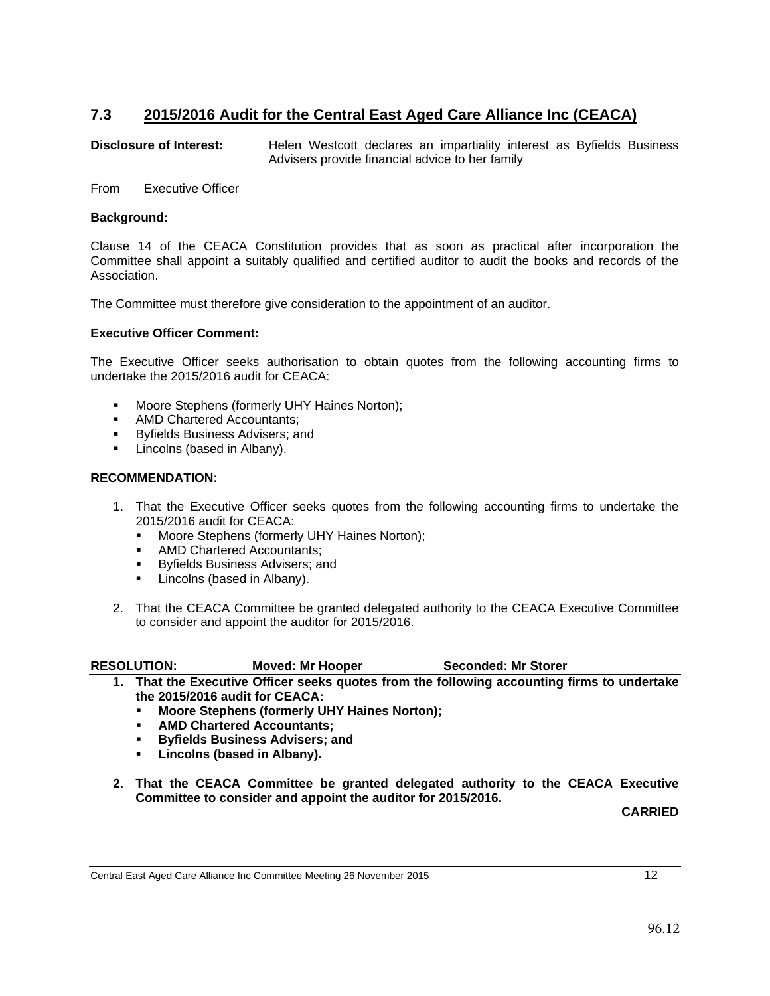# <span id="page-11-0"></span>**7.3 2015/2016 Audit for the Central East Aged Care Alliance Inc (CEACA)**

**Disclosure of Interest:** Helen Westcott declares an impartiality interest as Byfields Business Advisers provide financial advice to her family

From Executive Officer

#### **Background:**

Clause 14 of the CEACA Constitution provides that as soon as practical after incorporation the Committee shall appoint a suitably qualified and certified auditor to audit the books and records of the Association.

The Committee must therefore give consideration to the appointment of an auditor.

#### **Executive Officer Comment:**

The Executive Officer seeks authorisation to obtain quotes from the following accounting firms to undertake the 2015/2016 audit for CEACA:

- **Moore Stephens (formerly UHY Haines Norton);**
- **AMD Chartered Accountants;**
- **Byfields Business Advisers; and**
- **Lincolns (based in Albany).**

#### **RECOMMENDATION:**

- 1. That the Executive Officer seeks quotes from the following accounting firms to undertake the 2015/2016 audit for CEACA:
	- **Moore Stephens (formerly UHY Haines Norton);**<br>AMD Chartered Accountants:
	- AMD Chartered Accountants;<br>• Byfields Business Advisers; au
	- Byfields Business Advisers; and
	- **Lincolns (based in Albany).**
- 2. That the CEACA Committee be granted delegated authority to the CEACA Executive Committee to consider and appoint the auditor for 2015/2016.

- **1. That the Executive Officer seeks quotes from the following accounting firms to undertake the 2015/2016 audit for CEACA:**
	- **Moore Stephens (formerly UHY Haines Norton);**<br>**AMD Chartered Accountants:**
	- **AMD Chartered Accountants;**
	- **Byfields Business Advisers; and**<br>**B** Lincolns (based in Albany)
	- **Lincolns (based in Albany).**
- **2. That the CEACA Committee be granted delegated authority to the CEACA Executive Committee to consider and appoint the auditor for 2015/2016.**

**CARRIED**

#### Central East Aged Care Alliance Inc Committee Meeting 26 November 2015 12

RESOLUTION: Moved: Mr Hooper **Seconded: Mr Storer** RESOLUTION: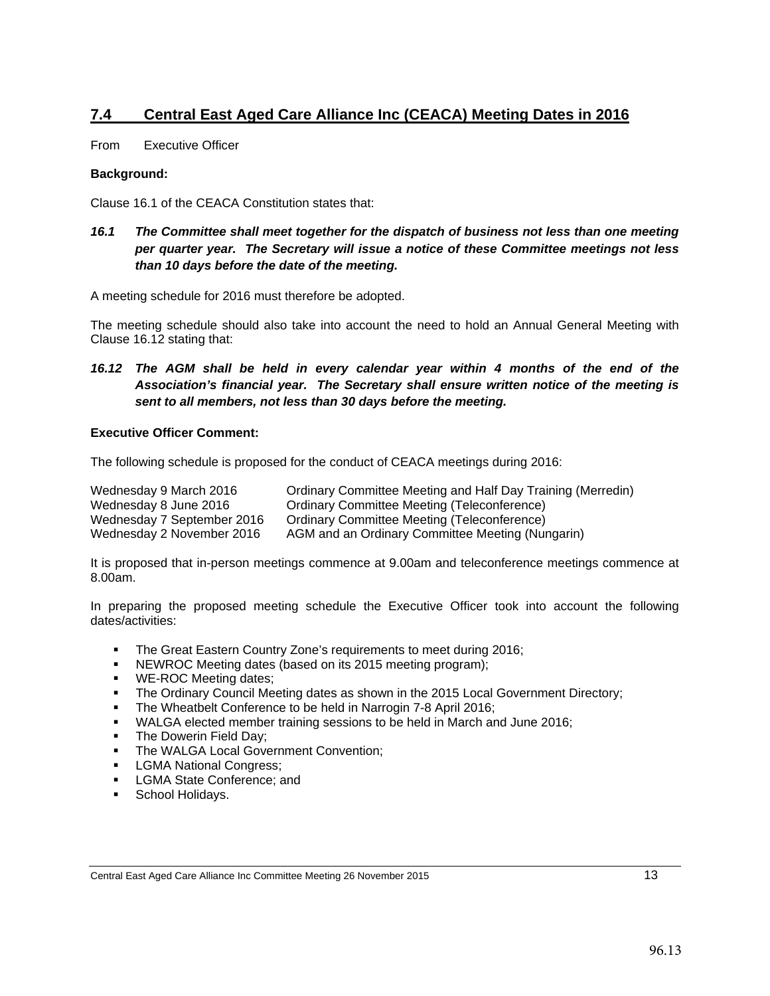# <span id="page-12-0"></span>**7.4 Central East Aged Care Alliance Inc (CEACA) Meeting Dates in 2016**

From Executive Officer

#### **Background:**

Clause 16.1 of the CEACA Constitution states that:

*16.1 The Committee shall meet together for the dispatch of business not less than one meeting per quarter year. The Secretary will issue a notice of these Committee meetings not less than 10 days before the date of the meeting.*

A meeting schedule for 2016 must therefore be adopted.

The meeting schedule should also take into account the need to hold an Annual General Meeting with Clause 16.12 stating that:

*16.12 The AGM shall be held in every calendar year within 4 months of the end of the Association's financial year. The Secretary shall ensure written notice of the meeting is sent to all members, not less than 30 days before the meeting.* 

#### **Executive Officer Comment:**

The following schedule is proposed for the conduct of CEACA meetings during 2016:

| Wednesday 9 March 2016     | Ordinary Committee Meeting and Half Day Training (Merredin) |
|----------------------------|-------------------------------------------------------------|
| Wednesday 8 June 2016      | Ordinary Committee Meeting (Teleconference)                 |
| Wednesday 7 September 2016 | Ordinary Committee Meeting (Teleconference)                 |
| Wednesday 2 November 2016  | AGM and an Ordinary Committee Meeting (Nungarin)            |

It is proposed that in-person meetings commence at 9.00am and teleconference meetings commence at 8.00am.

In preparing the proposed meeting schedule the Executive Officer took into account the following dates/activities:

- **The Great Eastern Country Zone's requirements to meet during 2016;**
- **NEWROC Meeting dates (based on its 2015 meeting program);**
- **WE-ROC Meeting dates;**
- The Ordinary Council Meeting dates as shown in the 2015 Local Government Directory;
- The Wheatbelt Conference to be held in Narrogin 7-8 April 2016;
- **WALGA elected member training sessions to be held in March and June 2016;**
- The Dowerin Field Day;
- **The WALGA Local Government Convention;**
- **LGMA National Congress;**
- **EXECONA State Conference; and**
- **School Holidays.**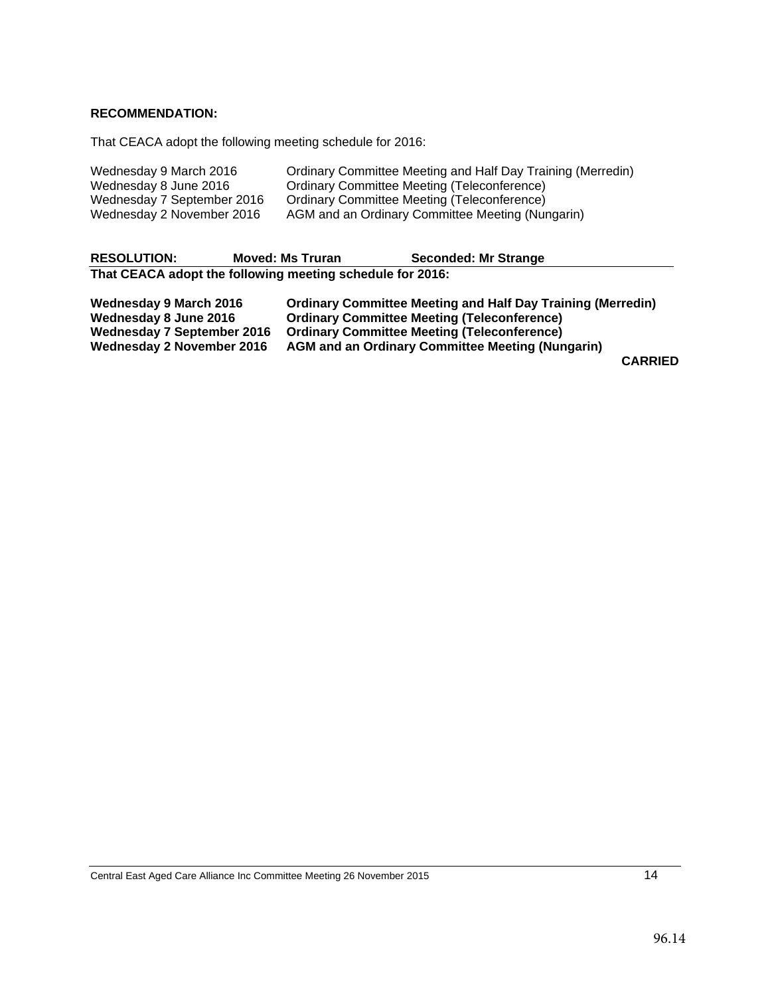#### **RECOMMENDATION:**

That CEACA adopt the following meeting schedule for 2016:

| Wednesday 9 March 2016     | Ordinary Committee Meeting and Half Day Training (Merredin) |
|----------------------------|-------------------------------------------------------------|
| Wednesday 8 June 2016      | Ordinary Committee Meeting (Teleconference)                 |
| Wednesday 7 September 2016 | Ordinary Committee Meeting (Teleconference)                 |
| Wednesday 2 November 2016  | AGM and an Ordinary Committee Meeting (Nungarin)            |

| <b>RESOLUTION:</b>                                        | <b>Moved: Ms Truran</b> | Seconded: Mr Strange                                               |  |  |  |  |  |
|-----------------------------------------------------------|-------------------------|--------------------------------------------------------------------|--|--|--|--|--|
| That CEACA adopt the following meeting schedule for 2016: |                         |                                                                    |  |  |  |  |  |
| <b>Wednesday 9 March 2016</b>                             |                         | <b>Ordinary Committee Meeting and Half Day Training (Merredin)</b> |  |  |  |  |  |
| Wednesday 8 June 2016                                     |                         | <b>Ordinary Committee Meeting (Teleconference)</b>                 |  |  |  |  |  |
| <b>Wednesday 7 September 2016</b>                         |                         | <b>Ordinary Committee Meeting (Teleconference)</b>                 |  |  |  |  |  |
| <b>Wednesday 2 November 2016</b>                          |                         | <b>AGM and an Ordinary Committee Meeting (Nungarin)</b>            |  |  |  |  |  |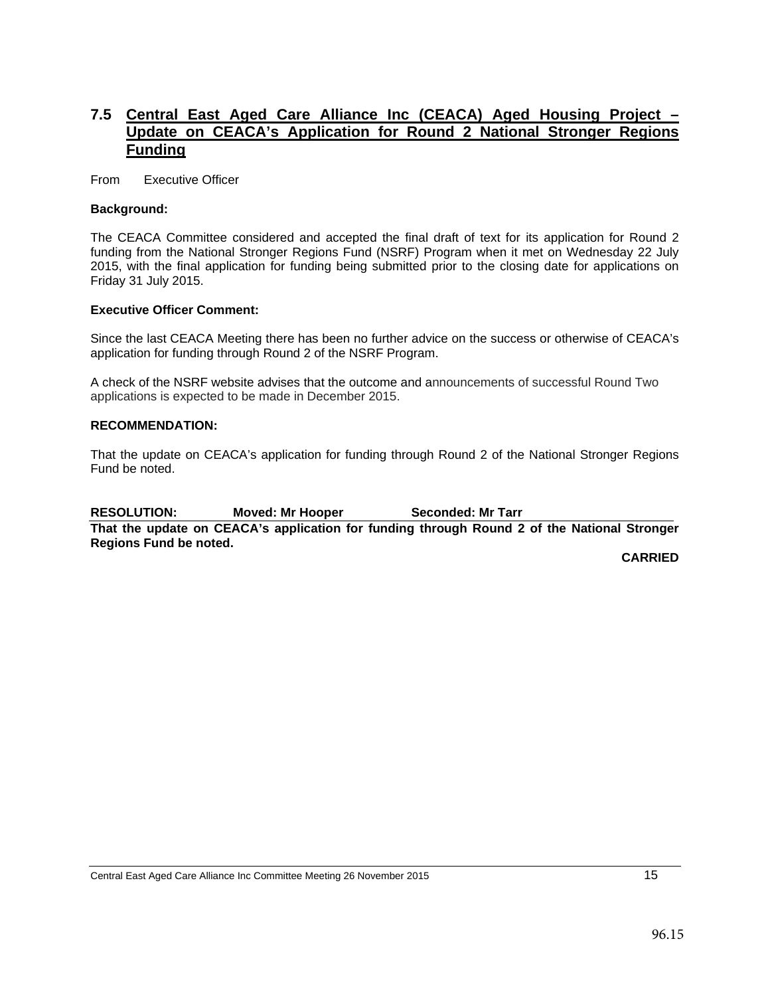## <span id="page-14-0"></span>**7.5 Central East Aged Care Alliance Inc (CEACA) Aged Housing Project – Update on CEACA's Application for Round 2 National Stronger Regions Funding**

From Executive Officer

#### **Background:**

The CEACA Committee considered and accepted the final draft of text for its application for Round 2 funding from the National Stronger Regions Fund (NSRF) Program when it met on Wednesday 22 July 2015, with the final application for funding being submitted prior to the closing date for applications on Friday 31 July 2015.

#### **Executive Officer Comment:**

Since the last CEACA Meeting there has been no further advice on the success or otherwise of CEACA's application for funding through Round 2 of the NSRF Program.

A check of the NSRF website advises that the outcome and announcements of successful Round Two applications is expected to be made in December 2015.

#### **RECOMMENDATION:**

That the update on CEACA's application for funding through Round 2 of the National Stronger Regions Fund be noted.

RESOLUTION: Moved: Mr Hooper Seconded: Mr Tarr **That the update on CEACA's application for funding through Round 2 of the National Stronger Regions Fund be noted.**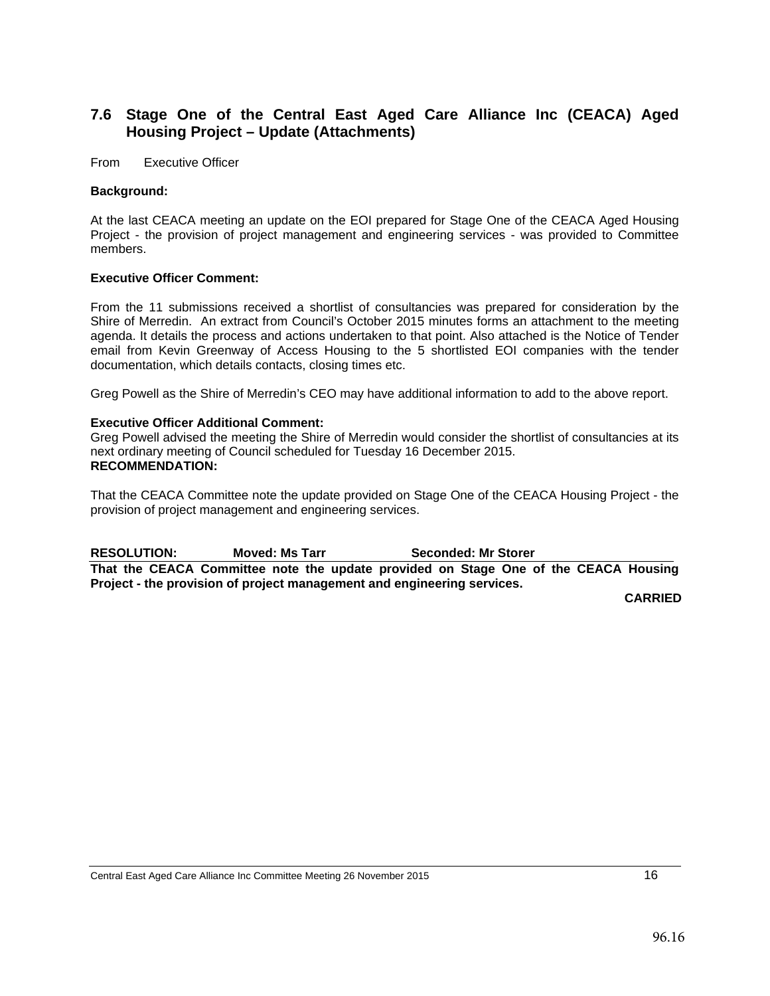### <span id="page-15-0"></span>**7.6 Stage One of the Central East Aged Care Alliance Inc (CEACA) Aged Housing Project – Update (Attachments)**

From Executive Officer

#### **Background:**

At the last CEACA meeting an update on the EOI prepared for Stage One of the CEACA Aged Housing Project - the provision of project management and engineering services - was provided to Committee members.

#### **Executive Officer Comment:**

From the 11 submissions received a shortlist of consultancies was prepared for consideration by the Shire of Merredin. An extract from Council's October 2015 minutes forms an attachment to the meeting agenda. It details the process and actions undertaken to that point. Also attached is the Notice of Tender email from Kevin Greenway of Access Housing to the 5 shortlisted EOI companies with the tender documentation, which details contacts, closing times etc.

Greg Powell as the Shire of Merredin's CEO may have additional information to add to the above report.

#### **Executive Officer Additional Comment:**

Greg Powell advised the meeting the Shire of Merredin would consider the shortlist of consultancies at its next ordinary meeting of Council scheduled for Tuesday 16 December 2015. **RECOMMENDATION:**

That the CEACA Committee note the update provided on Stage One of the CEACA Housing Project - the provision of project management and engineering services.

RESOLUTION: Moved: Ms Tarr **Seconded: Mr Storer** RESOLUTION: **That the CEACA Committee note the update provided on Stage One of the CEACA Housing Project - the provision of project management and engineering services.**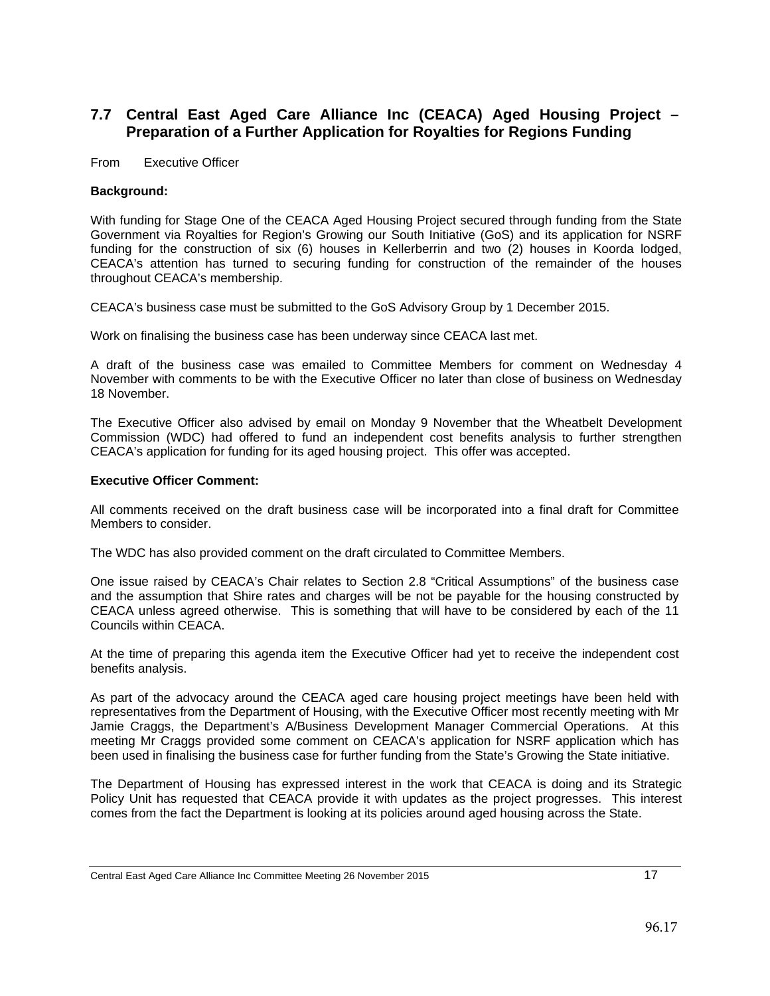## <span id="page-16-0"></span>**7.7 Central East Aged Care Alliance Inc (CEACA) Aged Housing Project – Preparation of a Further Application for Royalties for Regions Funding**

From Executive Officer

#### **Background:**

With funding for Stage One of the CEACA Aged Housing Project secured through funding from the State Government via Royalties for Region's Growing our South Initiative (GoS) and its application for NSRF funding for the construction of six (6) houses in Kellerberrin and two (2) houses in Koorda lodged, CEACA's attention has turned to securing funding for construction of the remainder of the houses throughout CEACA's membership.

CEACA's business case must be submitted to the GoS Advisory Group by 1 December 2015.

Work on finalising the business case has been underway since CEACA last met.

A draft of the business case was emailed to Committee Members for comment on Wednesday 4 November with comments to be with the Executive Officer no later than close of business on Wednesday 18 November.

The Executive Officer also advised by email on Monday 9 November that the Wheatbelt Development Commission (WDC) had offered to fund an independent cost benefits analysis to further strengthen CEACA's application for funding for its aged housing project. This offer was accepted.

#### **Executive Officer Comment:**

All comments received on the draft business case will be incorporated into a final draft for Committee Members to consider.

The WDC has also provided comment on the draft circulated to Committee Members.

One issue raised by CEACA's Chair relates to Section 2.8 "Critical Assumptions" of the business case and the assumption that Shire rates and charges will be not be payable for the housing constructed by CEACA unless agreed otherwise. This is something that will have to be considered by each of the 11 Councils within CEACA.

At the time of preparing this agenda item the Executive Officer had yet to receive the independent cost benefits analysis.

As part of the advocacy around the CEACA aged care housing project meetings have been held with representatives from the Department of Housing, with the Executive Officer most recently meeting with Mr Jamie Craggs, the Department's A/Business Development Manager Commercial Operations. At this meeting Mr Craggs provided some comment on CEACA's application for NSRF application which has been used in finalising the business case for further funding from the State's Growing the State initiative.

The Department of Housing has expressed interest in the work that CEACA is doing and its Strategic Policy Unit has requested that CEACA provide it with updates as the project progresses. This interest comes from the fact the Department is looking at its policies around aged housing across the State.

Central East Aged Care Alliance Inc Committee Meeting 26 November 2015 17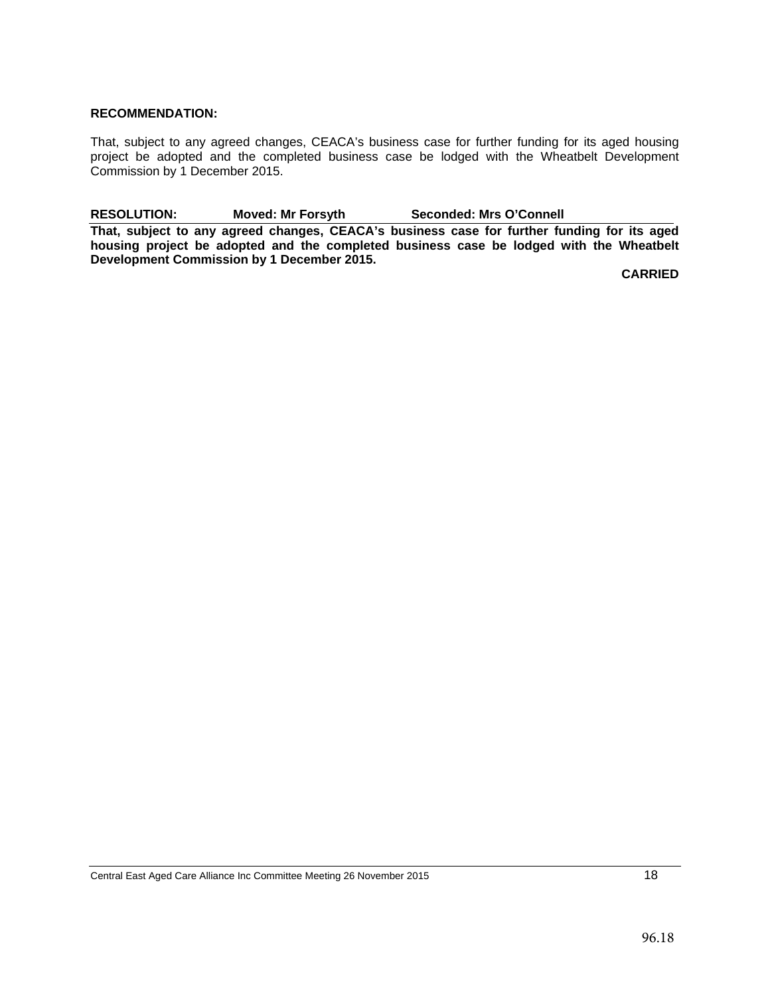#### **RECOMMENDATION:**

That, subject to any agreed changes, CEACA's business case for further funding for its aged housing project be adopted and the completed business case be lodged with the Wheatbelt Development Commission by 1 December 2015.

RESOLUTION: Moved: Mr Forsyth Seconded: Mrs O'Connell **That, subject to any agreed changes, CEACA's business case for further funding for its aged housing project be adopted and the completed business case be lodged with the Wheatbelt Development Commission by 1 December 2015.**